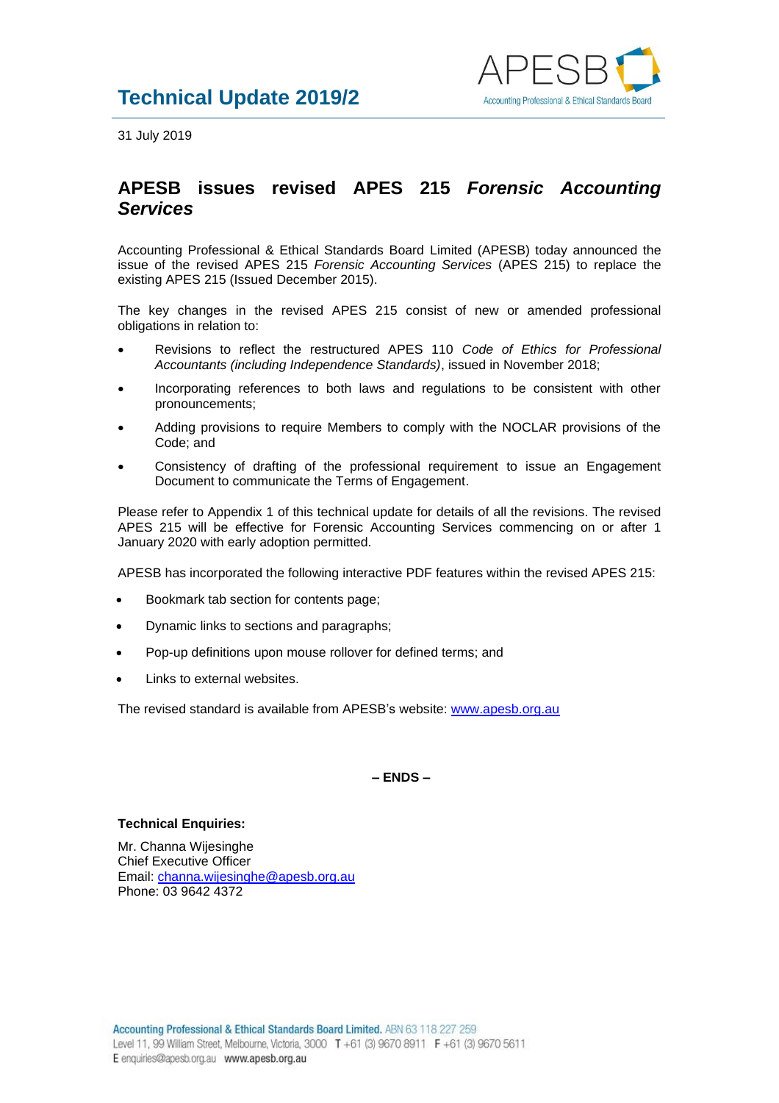

31 July 2019

## **APESB issues revised APES 215** *Forensic Accounting Services*

Accounting Professional & Ethical Standards Board Limited (APESB) today announced the issue of the revised APES 215 *Forensic Accounting Services* (APES 215) to replace the existing APES 215 (Issued December 2015).

The key changes in the revised APES 215 consist of new or amended professional obligations in relation to:

- Revisions to reflect the restructured APES 110 *Code of Ethics for Professional Accountants (including Independence Standards)*, issued in November 2018;
- Incorporating references to both laws and regulations to be consistent with other pronouncements;
- Adding provisions to require Members to comply with the NOCLAR provisions of the Code; and
- Consistency of drafting of the professional requirement to issue an Engagement Document to communicate the Terms of Engagement.

Please refer to Appendix 1 of this technical update for details of all the revisions. The revised APES 215 will be effective for Forensic Accounting Services commencing on or after 1 January 2020 with early adoption permitted.

APESB has incorporated the following interactive PDF features within the revised APES 215:

- Bookmark tab section for contents page;
- Dynamic links to sections and paragraphs;
- Pop-up definitions upon mouse rollover for defined terms; and
- Links to external websites.

The revised standard is available from APESB's website: [www.apesb.org.au](http://www.apesb.org.au/)

**– ENDS –**

## **Technical Enquiries:**

Mr. Channa Wijesinghe Chief Executive Officer Email: [channa.wijesinghe@apesb.org.au](mailto:channa.wijesinghe@apesb.org.au) Phone: 03 9642 4372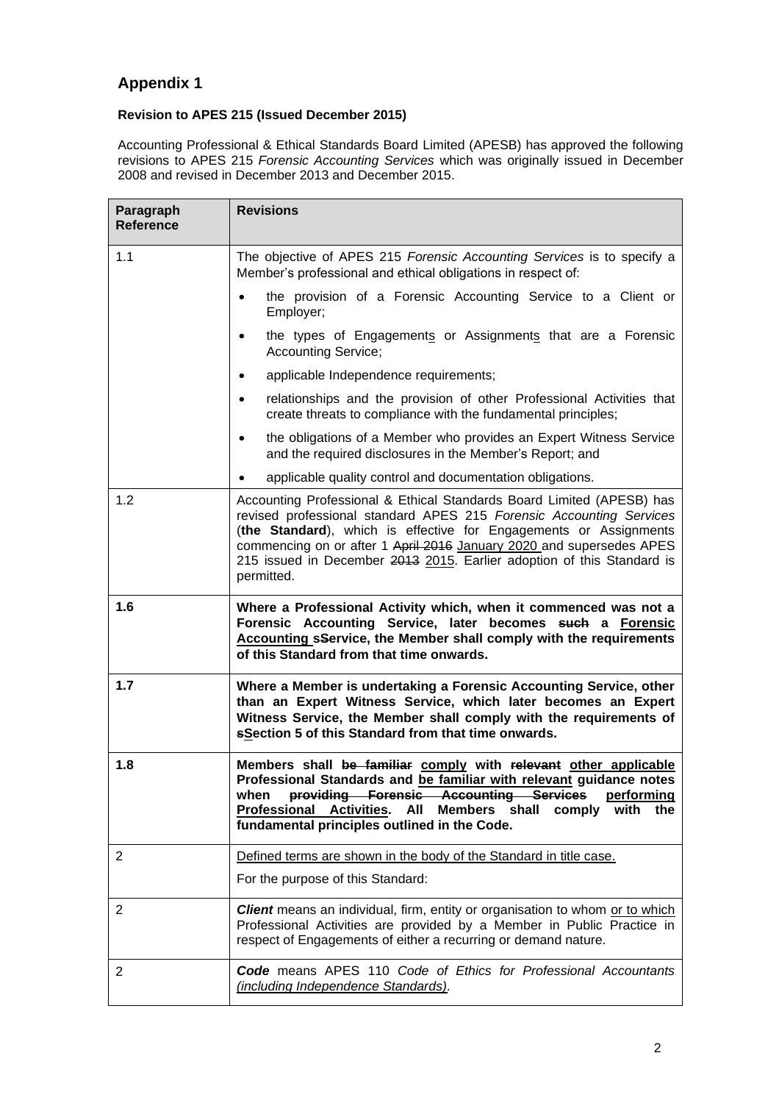## **Appendix 1**

## **Revision to APES 215 (Issued December 2015)**

Accounting Professional & Ethical Standards Board Limited (APESB) has approved the following revisions to APES 215 *Forensic Accounting Services* which was originally issued in December 2008 and revised in December 2013 and December 2015.

| Paragraph<br><b>Reference</b> | <b>Revisions</b>                                                                                                                                                                                                                                                                                                                                                                  |
|-------------------------------|-----------------------------------------------------------------------------------------------------------------------------------------------------------------------------------------------------------------------------------------------------------------------------------------------------------------------------------------------------------------------------------|
| 1.1                           | The objective of APES 215 Forensic Accounting Services is to specify a<br>Member's professional and ethical obligations in respect of:                                                                                                                                                                                                                                            |
|                               | the provision of a Forensic Accounting Service to a Client or<br>$\bullet$<br>Employer;                                                                                                                                                                                                                                                                                           |
|                               | the types of Engagements or Assignments that are a Forensic<br>$\bullet$<br><b>Accounting Service;</b>                                                                                                                                                                                                                                                                            |
|                               | applicable Independence requirements;<br>$\bullet$                                                                                                                                                                                                                                                                                                                                |
|                               | relationships and the provision of other Professional Activities that<br>$\bullet$<br>create threats to compliance with the fundamental principles;                                                                                                                                                                                                                               |
|                               | the obligations of a Member who provides an Expert Witness Service<br>$\bullet$<br>and the required disclosures in the Member's Report; and                                                                                                                                                                                                                                       |
|                               | applicable quality control and documentation obligations.<br>$\bullet$                                                                                                                                                                                                                                                                                                            |
| 1.2                           | Accounting Professional & Ethical Standards Board Limited (APESB) has<br>revised professional standard APES 215 Forensic Accounting Services<br>(the Standard), which is effective for Engagements or Assignments<br>commencing on or after 1 April 2016 January 2020 and supersedes APES<br>215 issued in December 2013 2015. Earlier adoption of this Standard is<br>permitted. |
| 1.6                           | Where a Professional Activity which, when it commenced was not a<br>Forensic Accounting Service, later becomes such a Forensic<br>Accounting sService, the Member shall comply with the requirements<br>of this Standard from that time onwards.                                                                                                                                  |
| 1.7                           | Where a Member is undertaking a Forensic Accounting Service, other<br>than an Expert Witness Service, which later becomes an Expert<br>Witness Service, the Member shall comply with the requirements of<br>sSection 5 of this Standard from that time onwards.                                                                                                                   |
| 1.8                           | Members shall be familiar comply with relevant other applicable<br>Professional Standards and be familiar with relevant guidance notes<br>providing Forensic Accounting Services<br>performing<br>when<br><b>Professional Activities.</b><br>All<br>Members shall comply<br>with<br>the<br>fundamental principles outlined in the Code.                                           |
| $\overline{2}$                | Defined terms are shown in the body of the Standard in title case.                                                                                                                                                                                                                                                                                                                |
|                               | For the purpose of this Standard:                                                                                                                                                                                                                                                                                                                                                 |
| $\overline{2}$                | <b>Client</b> means an individual, firm, entity or organisation to whom or to which<br>Professional Activities are provided by a Member in Public Practice in<br>respect of Engagements of either a recurring or demand nature.                                                                                                                                                   |
| 2                             | Code means APES 110 Code of Ethics for Professional Accountants<br>(including Independence Standards).                                                                                                                                                                                                                                                                            |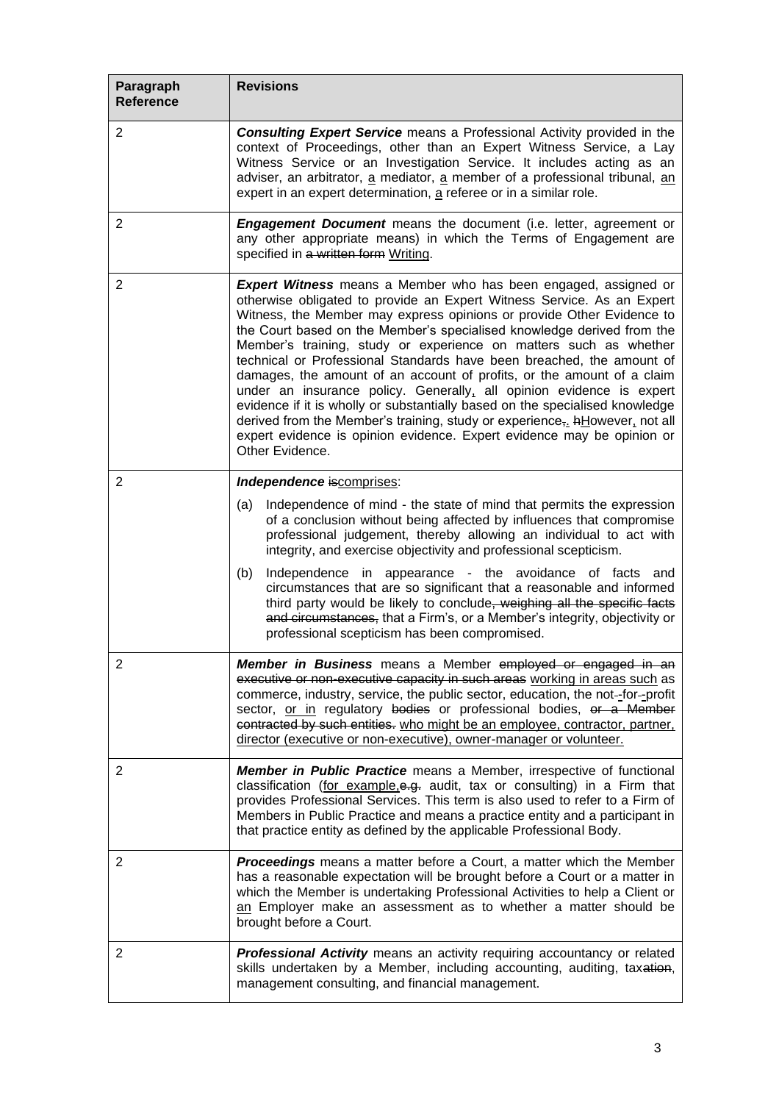| Paragraph<br><b>Reference</b> | <b>Revisions</b>                                                                                                                                                                                                                                                                                                                                                                                                                                                                                                                                                                                                                                                                                                                                                                                                                                                      |
|-------------------------------|-----------------------------------------------------------------------------------------------------------------------------------------------------------------------------------------------------------------------------------------------------------------------------------------------------------------------------------------------------------------------------------------------------------------------------------------------------------------------------------------------------------------------------------------------------------------------------------------------------------------------------------------------------------------------------------------------------------------------------------------------------------------------------------------------------------------------------------------------------------------------|
| $\overline{2}$                | <b>Consulting Expert Service</b> means a Professional Activity provided in the<br>context of Proceedings, other than an Expert Witness Service, a Lay<br>Witness Service or an Investigation Service. It includes acting as an<br>adviser, an arbitrator, a mediator, a member of a professional tribunal, an<br>expert in an expert determination, a referee or in a similar role.                                                                                                                                                                                                                                                                                                                                                                                                                                                                                   |
| $\overline{2}$                | <b>Engagement Document</b> means the document (i.e. letter, agreement or<br>any other appropriate means) in which the Terms of Engagement are<br>specified in a written form Writing.                                                                                                                                                                                                                                                                                                                                                                                                                                                                                                                                                                                                                                                                                 |
| 2                             | Expert Witness means a Member who has been engaged, assigned or<br>otherwise obligated to provide an Expert Witness Service. As an Expert<br>Witness, the Member may express opinions or provide Other Evidence to<br>the Court based on the Member's specialised knowledge derived from the<br>Member's training, study or experience on matters such as whether<br>technical or Professional Standards have been breached, the amount of<br>damages, the amount of an account of profits, or the amount of a claim<br>under an insurance policy. Generally, all opinion evidence is expert<br>evidence if it is wholly or substantially based on the specialised knowledge<br>derived from the Member's training, study or experience <sub>5</sub> . hHowever, not all<br>expert evidence is opinion evidence. Expert evidence may be opinion or<br>Other Evidence. |
| 2                             | Independence iscomprises:                                                                                                                                                                                                                                                                                                                                                                                                                                                                                                                                                                                                                                                                                                                                                                                                                                             |
|                               | Independence of mind - the state of mind that permits the expression<br>(a)<br>of a conclusion without being affected by influences that compromise<br>professional judgement, thereby allowing an individual to act with<br>integrity, and exercise objectivity and professional scepticism.<br>(b)<br>Independence in appearance - the avoidance of facts and<br>circumstances that are so significant that a reasonable and informed<br>third party would be likely to conclude, weighing all the specific facts<br>and circumstances, that a Firm's, or a Member's integrity, objectivity or<br>professional scepticism has been compromised.                                                                                                                                                                                                                     |
| $\overline{c}$                | Member in Business means a Member employed or engaged in an<br>executive or non-executive capacity in such areas working in areas such as<br>commerce, industry, service, the public sector, education, the not--for--profit<br>sector, or in regulatory bodies or professional bodies, or a Member<br>contracted by such entities. who might be an employee, contractor, partner,<br>director (executive or non-executive), owner-manager or volunteer.                                                                                                                                                                                                                                                                                                                                                                                                              |
| 2                             | <b>Member in Public Practice</b> means a Member, irrespective of functional<br>classification (for example, e.g. audit, tax or consulting) in a Firm that<br>provides Professional Services. This term is also used to refer to a Firm of<br>Members in Public Practice and means a practice entity and a participant in<br>that practice entity as defined by the applicable Professional Body.                                                                                                                                                                                                                                                                                                                                                                                                                                                                      |
| $\overline{2}$                | <b>Proceedings</b> means a matter before a Court, a matter which the Member<br>has a reasonable expectation will be brought before a Court or a matter in<br>which the Member is undertaking Professional Activities to help a Client or<br>an Employer make an assessment as to whether a matter should be<br>brought before a Court.                                                                                                                                                                                                                                                                                                                                                                                                                                                                                                                                |
| 2                             | Professional Activity means an activity requiring accountancy or related<br>skills undertaken by a Member, including accounting, auditing, taxation,<br>management consulting, and financial management.                                                                                                                                                                                                                                                                                                                                                                                                                                                                                                                                                                                                                                                              |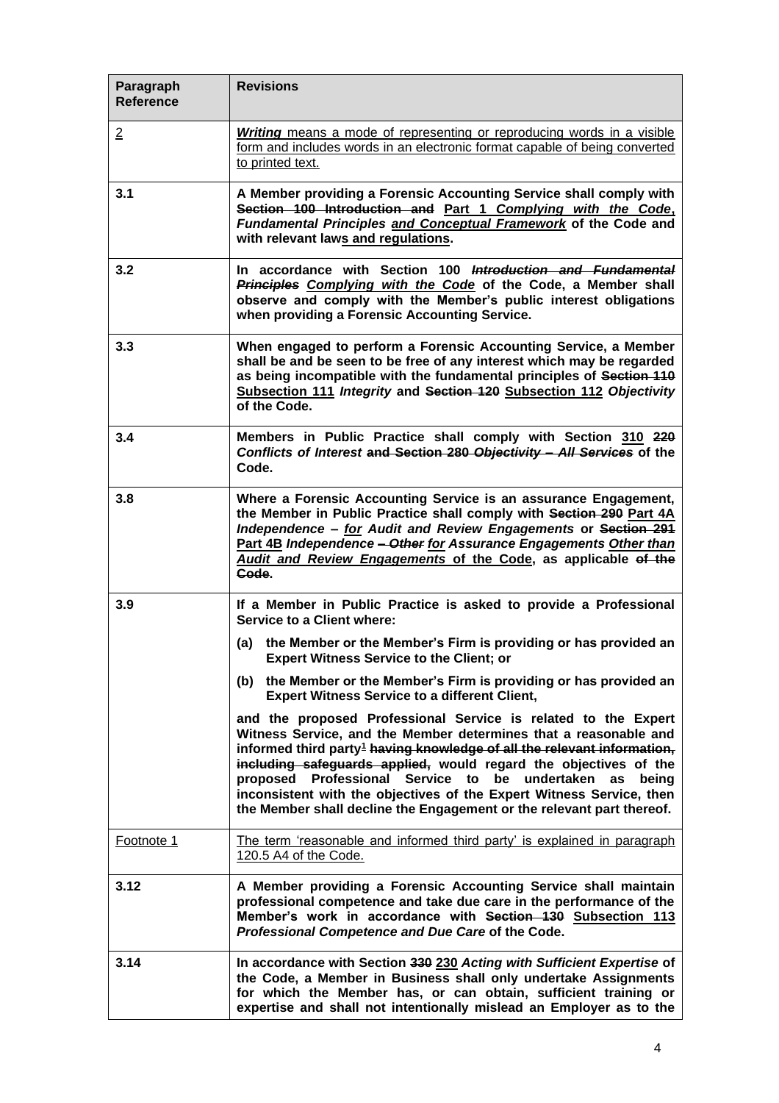| Paragraph<br><b>Reference</b> | <b>Revisions</b>                                                                                                                                                                                                                                                                                                                                                                                                                                                                                                |
|-------------------------------|-----------------------------------------------------------------------------------------------------------------------------------------------------------------------------------------------------------------------------------------------------------------------------------------------------------------------------------------------------------------------------------------------------------------------------------------------------------------------------------------------------------------|
| $\overline{2}$                | <b>Writing</b> means a mode of representing or reproducing words in a visible<br>form and includes words in an electronic format capable of being converted<br>to printed text.                                                                                                                                                                                                                                                                                                                                 |
| 3.1                           | A Member providing a Forensic Accounting Service shall comply with<br>Section 100 Introduction and Part 1 Complying with the Code,<br>Fundamental Principles and Conceptual Framework of the Code and<br>with relevant laws and regulations.                                                                                                                                                                                                                                                                    |
| 3.2                           | In accordance with Section 100 Introduction and Fundamental<br>Principles Complying with the Code of the Code, a Member shall<br>observe and comply with the Member's public interest obligations<br>when providing a Forensic Accounting Service.                                                                                                                                                                                                                                                              |
| 3.3                           | When engaged to perform a Forensic Accounting Service, a Member<br>shall be and be seen to be free of any interest which may be regarded<br>as being incompatible with the fundamental principles of Section 110<br>Subsection 111 Integrity and Section 120 Subsection 112 Objectivity<br>of the Code.                                                                                                                                                                                                         |
| 3.4                           | Members in Public Practice shall comply with Section 310 220<br>Conflicts of Interest and Section 280 Objectivity - All Services of the<br>Code.                                                                                                                                                                                                                                                                                                                                                                |
| 3.8                           | Where a Forensic Accounting Service is an assurance Engagement,<br>the Member in Public Practice shall comply with Section 290 Part 4A<br>Independence - for Audit and Review Engagements or Section 291<br>Part 4B Independence - Other for Assurance Engagements Other than<br>Audit and Review Engagements of the Code, as applicable of the<br>Code.                                                                                                                                                        |
| 3.9                           | If a Member in Public Practice is asked to provide a Professional<br><b>Service to a Client where:</b>                                                                                                                                                                                                                                                                                                                                                                                                          |
|                               | the Member or the Member's Firm is providing or has provided an<br>(a)<br><b>Expert Witness Service to the Client; or</b>                                                                                                                                                                                                                                                                                                                                                                                       |
|                               | (b) the Member or the Member's Firm is providing or has provided an<br><b>Expert Witness Service to a different Client,</b>                                                                                                                                                                                                                                                                                                                                                                                     |
|                               | and the proposed Professional Service is related to the Expert<br>Witness Service, and the Member determines that a reasonable and<br>informed third party <sup>1</sup> having knowledge of all the relevant information,<br>including safeguards applied, would regard the objectives of the<br>proposed Professional Service to be undertaken<br>as<br>being<br>inconsistent with the objectives of the Expert Witness Service, then<br>the Member shall decline the Engagement or the relevant part thereof. |
| Footnote 1                    | The term 'reasonable and informed third party' is explained in paragraph<br>120.5 A4 of the Code.                                                                                                                                                                                                                                                                                                                                                                                                               |
| 3.12                          | A Member providing a Forensic Accounting Service shall maintain<br>professional competence and take due care in the performance of the<br>Member's work in accordance with Section 130 Subsection 113<br>Professional Competence and Due Care of the Code.                                                                                                                                                                                                                                                      |
| 3.14                          | In accordance with Section 330 230 Acting with Sufficient Expertise of<br>the Code, a Member in Business shall only undertake Assignments<br>for which the Member has, or can obtain, sufficient training or<br>expertise and shall not intentionally mislead an Employer as to the                                                                                                                                                                                                                             |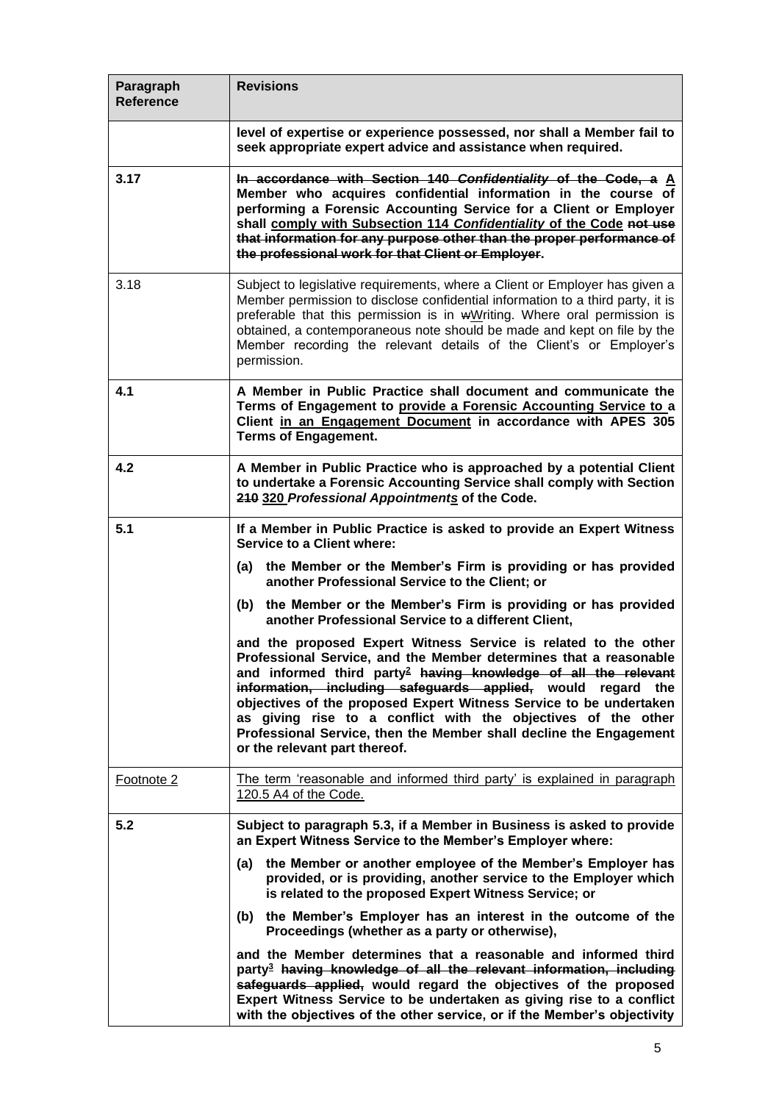| Paragraph<br><b>Reference</b> | <b>Revisions</b>                                                                                                                                                                                                                                                                                                                                                                                                                                                                                                                |
|-------------------------------|---------------------------------------------------------------------------------------------------------------------------------------------------------------------------------------------------------------------------------------------------------------------------------------------------------------------------------------------------------------------------------------------------------------------------------------------------------------------------------------------------------------------------------|
|                               | level of expertise or experience possessed, nor shall a Member fail to<br>seek appropriate expert advice and assistance when required.                                                                                                                                                                                                                                                                                                                                                                                          |
| 3.17                          | In accordance with Section 140 Confidentiality of the Code, a A<br>Member who acquires confidential information in the course of<br>performing a Forensic Accounting Service for a Client or Employer<br>shall comply with Subsection 114 Confidentiality of the Code not use<br>that information for any purpose other than the proper performance of<br>the professional work for that Client or Employer.                                                                                                                    |
| 3.18                          | Subject to legislative requirements, where a Client or Employer has given a<br>Member permission to disclose confidential information to a third party, it is<br>preferable that this permission is in wWriting. Where oral permission is<br>obtained, a contemporaneous note should be made and kept on file by the<br>Member recording the relevant details of the Client's or Employer's<br>permission.                                                                                                                      |
| 4.1                           | A Member in Public Practice shall document and communicate the<br>Terms of Engagement to provide a Forensic Accounting Service to a<br>Client in an Engagement Document in accordance with APES 305<br><b>Terms of Engagement.</b>                                                                                                                                                                                                                                                                                              |
| 4.2                           | A Member in Public Practice who is approached by a potential Client<br>to undertake a Forensic Accounting Service shall comply with Section<br>210 320 Professional Appointments of the Code.                                                                                                                                                                                                                                                                                                                                   |
| 5.1                           | If a Member in Public Practice is asked to provide an Expert Witness<br><b>Service to a Client where:</b>                                                                                                                                                                                                                                                                                                                                                                                                                       |
|                               | the Member or the Member's Firm is providing or has provided<br>(a)<br>another Professional Service to the Client; or                                                                                                                                                                                                                                                                                                                                                                                                           |
|                               | (b) the Member or the Member's Firm is providing or has provided<br>another Professional Service to a different Client,                                                                                                                                                                                                                                                                                                                                                                                                         |
|                               | and the proposed Expert Witness Service is related to the other<br>Professional Service, and the Member determines that a reasonable<br>and informed third party <sup>2</sup> having knowledge of all the relevant<br>information, including safeguards applied, would regard the<br>objectives of the proposed Expert Witness Service to be undertaken<br>as giving rise to a conflict with the objectives of the other<br>Professional Service, then the Member shall decline the Engagement<br>or the relevant part thereof. |
| Footnote 2                    | The term 'reasonable and informed third party' is explained in paragraph<br>120.5 A4 of the Code.                                                                                                                                                                                                                                                                                                                                                                                                                               |
| 5.2                           | Subject to paragraph 5.3, if a Member in Business is asked to provide<br>an Expert Witness Service to the Member's Employer where:                                                                                                                                                                                                                                                                                                                                                                                              |
|                               | the Member or another employee of the Member's Employer has<br>(a)<br>provided, or is providing, another service to the Employer which<br>is related to the proposed Expert Witness Service; or                                                                                                                                                                                                                                                                                                                                 |
|                               | (b) the Member's Employer has an interest in the outcome of the<br>Proceedings (whether as a party or otherwise),                                                                                                                                                                                                                                                                                                                                                                                                               |
|                               | and the Member determines that a reasonable and informed third<br>party <sup>3</sup> having knowledge of all the relevant information, including<br>safeguards applied, would regard the objectives of the proposed<br>Expert Witness Service to be undertaken as giving rise to a conflict<br>with the objectives of the other service, or if the Member's objectivity                                                                                                                                                         |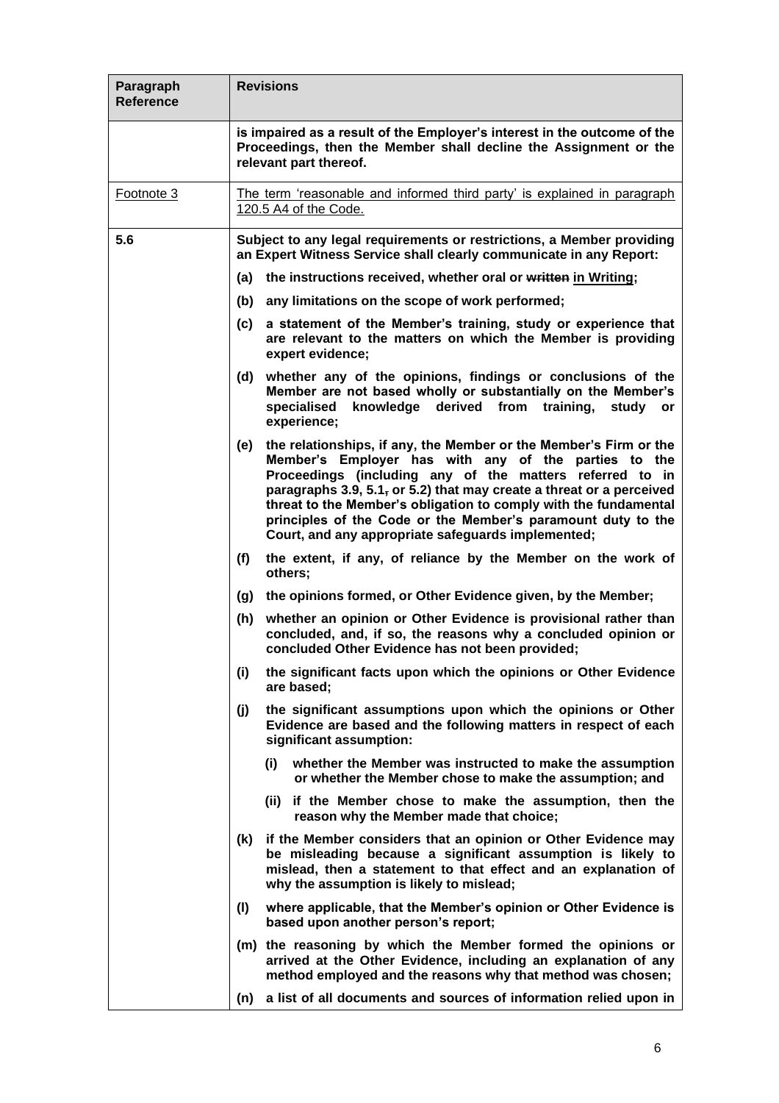| Paragraph<br><b>Reference</b> | <b>Revisions</b> |                                                                                                                                                                                                                                                                                                                                                                                                                                                         |  |  |
|-------------------------------|------------------|---------------------------------------------------------------------------------------------------------------------------------------------------------------------------------------------------------------------------------------------------------------------------------------------------------------------------------------------------------------------------------------------------------------------------------------------------------|--|--|
|                               |                  | is impaired as a result of the Employer's interest in the outcome of the<br>Proceedings, then the Member shall decline the Assignment or the<br>relevant part thereof.                                                                                                                                                                                                                                                                                  |  |  |
| Footnote 3                    |                  | The term 'reasonable and informed third party' is explained in paragraph<br>120.5 A4 of the Code.                                                                                                                                                                                                                                                                                                                                                       |  |  |
| 5.6                           |                  | Subject to any legal requirements or restrictions, a Member providing<br>an Expert Witness Service shall clearly communicate in any Report:                                                                                                                                                                                                                                                                                                             |  |  |
|                               | (a)              | the instructions received, whether oral or written in Writing;                                                                                                                                                                                                                                                                                                                                                                                          |  |  |
|                               | (b)              | any limitations on the scope of work performed;                                                                                                                                                                                                                                                                                                                                                                                                         |  |  |
|                               | (c)              | a statement of the Member's training, study or experience that<br>are relevant to the matters on which the Member is providing<br>expert evidence;                                                                                                                                                                                                                                                                                                      |  |  |
|                               | (d)              | whether any of the opinions, findings or conclusions of the<br>Member are not based wholly or substantially on the Member's<br>specialised<br>knowledge<br>derived<br>from<br>training,<br>study<br>or<br>experience;                                                                                                                                                                                                                                   |  |  |
|                               | (e)              | the relationships, if any, the Member or the Member's Firm or the<br>Member's Employer has with any of the parties to the<br>Proceedings (including any of the matters referred to in<br>paragraphs 3.9, 5.1, or 5.2) that may create a threat or a perceived<br>threat to the Member's obligation to comply with the fundamental<br>principles of the Code or the Member's paramount duty to the<br>Court, and any appropriate safeguards implemented; |  |  |
|                               | (f)              | the extent, if any, of reliance by the Member on the work of<br>others;                                                                                                                                                                                                                                                                                                                                                                                 |  |  |
|                               | (g)              | the opinions formed, or Other Evidence given, by the Member;                                                                                                                                                                                                                                                                                                                                                                                            |  |  |
|                               | (h)              | whether an opinion or Other Evidence is provisional rather than<br>concluded, and, if so, the reasons why a concluded opinion or<br>concluded Other Evidence has not been provided;                                                                                                                                                                                                                                                                     |  |  |
|                               | (i)              | the significant facts upon which the opinions or Other Evidence<br>are based;                                                                                                                                                                                                                                                                                                                                                                           |  |  |
|                               | (j)              | the significant assumptions upon which the opinions or Other<br>Evidence are based and the following matters in respect of each<br>significant assumption:                                                                                                                                                                                                                                                                                              |  |  |
|                               |                  | whether the Member was instructed to make the assumption<br>(i)<br>or whether the Member chose to make the assumption; and                                                                                                                                                                                                                                                                                                                              |  |  |
|                               |                  | (ii) if the Member chose to make the assumption, then the<br>reason why the Member made that choice;                                                                                                                                                                                                                                                                                                                                                    |  |  |
|                               | (k)              | if the Member considers that an opinion or Other Evidence may<br>be misleading because a significant assumption is likely to<br>mislead, then a statement to that effect and an explanation of<br>why the assumption is likely to mislead;                                                                                                                                                                                                              |  |  |
|                               | (1)              | where applicable, that the Member's opinion or Other Evidence is<br>based upon another person's report;                                                                                                                                                                                                                                                                                                                                                 |  |  |
|                               |                  | (m) the reasoning by which the Member formed the opinions or<br>arrived at the Other Evidence, including an explanation of any<br>method employed and the reasons why that method was chosen;                                                                                                                                                                                                                                                           |  |  |
|                               | (n)              | a list of all documents and sources of information relied upon in                                                                                                                                                                                                                                                                                                                                                                                       |  |  |